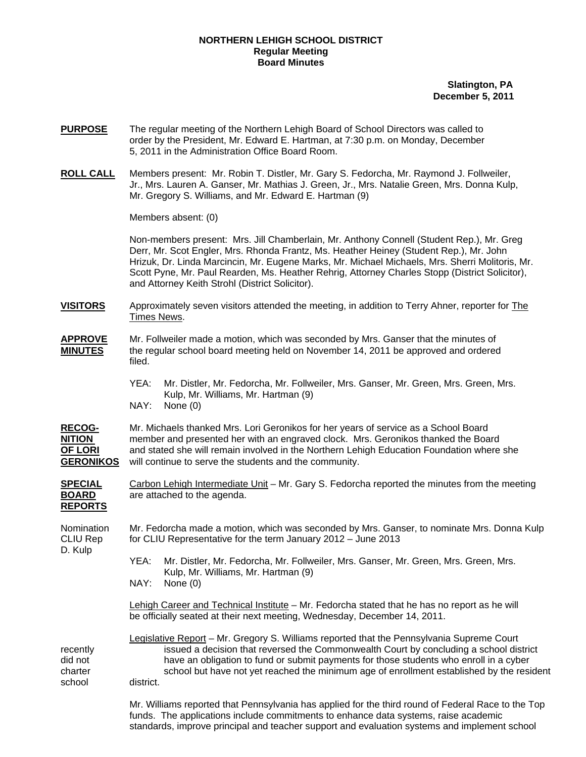## **NORTHERN LEHIGH SCHOOL DISTRICT Regular Meeting Board Minutes**

 **Slatington, PA December 5, 2011** 

- **PURPOSE** The regular meeting of the Northern Lehigh Board of School Directors was called to order by the President, Mr. Edward E. Hartman, at 7:30 p.m. on Monday, December 5, 2011 in the Administration Office Board Room.
- **ROLL CALL** Members present: Mr. Robin T. Distler, Mr. Gary S. Fedorcha, Mr. Raymond J. Follweiler, Jr., Mrs. Lauren A. Ganser, Mr. Mathias J. Green, Jr., Mrs. Natalie Green, Mrs. Donna Kulp, Mr. Gregory S. Williams, and Mr. Edward E. Hartman (9)

Members absent: (0)

Non-members present: Mrs. Jill Chamberlain, Mr. Anthony Connell (Student Rep.), Mr. Greg Derr, Mr. Scot Engler, Mrs. Rhonda Frantz, Ms. Heather Heiney (Student Rep.), Mr. John Hrizuk, Dr. Linda Marcincin, Mr. Eugene Marks, Mr. Michael Michaels, Mrs. Sherri Molitoris, Mr. Scott Pyne, Mr. Paul Rearden, Ms. Heather Rehrig, Attorney Charles Stopp (District Solicitor), and Attorney Keith Strohl (District Solicitor).

- **VISITORS** Approximately seven visitors attended the meeting, in addition to Terry Ahner, reporter for The Times News.
- **APPROVE** Mr. Follweiler made a motion, which was seconded by Mrs. Ganser that the minutes of **MINUTES** the regular school board meeting held on November 14, 2011 be approved and ordered filed.
	- YEA: Mr. Distler, Mr. Fedorcha, Mr. Follweiler, Mrs. Ganser, Mr. Green, Mrs. Green, Mrs. Kulp, Mr. Williams, Mr. Hartman (9) NAY: None (0)

**RECOG-** Mr. Michaels thanked Mrs. Lori Geronikos for her years of service as a School Board **NITION** member and presented her with an engraved clock. Mrs. Geronikos thanked the Board **OF LORI** and stated she will remain involved in the Northern Lehigh Education Foundation where she **GERONIKOS** will continue to serve the students and the community.

**SPECIAL** Carbon Lehigh Intermediate Unit – Mr. Gary S. Fedorcha reported the minutes from the meeting **BOARD** are attached to the agenda. **REPORTS**

Nomination Mr. Fedorcha made a motion, which was seconded by Mrs. Ganser, to nominate Mrs. Donna Kulp CLIU Rep for CLIU Representative for the term January 2012 – June 2013 D. Kulp

> YEA: Mr. Distler, Mr. Fedorcha, Mr. Follweiler, Mrs. Ganser, Mr. Green, Mrs. Green, Mrs. Kulp, Mr. Williams, Mr. Hartman (9)

NAY: None (0)

 Lehigh Career and Technical Institute – Mr. Fedorcha stated that he has no report as he will be officially seated at their next meeting, Wednesday, December 14, 2011.

 Legislative Report – Mr. Gregory S. Williams reported that the Pennsylvania Supreme Court recently issued a decision that reversed the Commonwealth Court by concluding a school district did not have an obligation to fund or submit payments for those students who enroll in a cyber charter school but have not yet reached the minimum age of enrollment established by the resident school district.

> Mr. Williams reported that Pennsylvania has applied for the third round of Federal Race to the Top funds. The applications include commitments to enhance data systems, raise academic standards, improve principal and teacher support and evaluation systems and implement school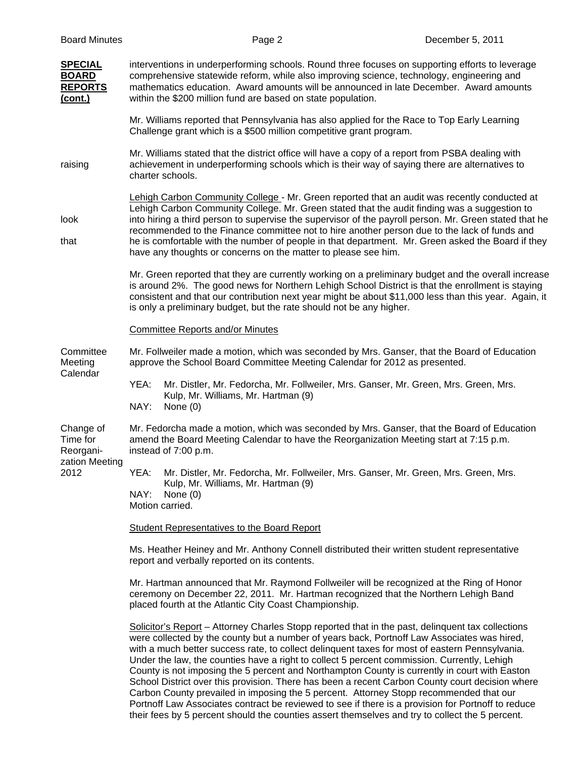| <b>Board Minutes</b>                                         |                                                                                                                                                                                                                                                                                                                                                                                                                                                                                                                                                                                                                                                                                                                                                                                                                                                                                                          | Page 2                                                                                                                                                                                                                                                                                                                                                                                    | December 5, 2011 |  |  |
|--------------------------------------------------------------|----------------------------------------------------------------------------------------------------------------------------------------------------------------------------------------------------------------------------------------------------------------------------------------------------------------------------------------------------------------------------------------------------------------------------------------------------------------------------------------------------------------------------------------------------------------------------------------------------------------------------------------------------------------------------------------------------------------------------------------------------------------------------------------------------------------------------------------------------------------------------------------------------------|-------------------------------------------------------------------------------------------------------------------------------------------------------------------------------------------------------------------------------------------------------------------------------------------------------------------------------------------------------------------------------------------|------------------|--|--|
| <b>SPECIAL</b><br><b>BOARD</b><br><b>REPORTS</b><br>(cont.)  | interventions in underperforming schools. Round three focuses on supporting efforts to leverage<br>comprehensive statewide reform, while also improving science, technology, engineering and<br>mathematics education. Award amounts will be announced in late December. Award amounts<br>within the \$200 million fund are based on state population.                                                                                                                                                                                                                                                                                                                                                                                                                                                                                                                                                   |                                                                                                                                                                                                                                                                                                                                                                                           |                  |  |  |
|                                                              | Mr. Williams reported that Pennsylvania has also applied for the Race to Top Early Learning<br>Challenge grant which is a \$500 million competitive grant program.                                                                                                                                                                                                                                                                                                                                                                                                                                                                                                                                                                                                                                                                                                                                       |                                                                                                                                                                                                                                                                                                                                                                                           |                  |  |  |
| raising                                                      | Mr. Williams stated that the district office will have a copy of a report from PSBA dealing with<br>achievement in underperforming schools which is their way of saying there are alternatives to<br>charter schools.                                                                                                                                                                                                                                                                                                                                                                                                                                                                                                                                                                                                                                                                                    |                                                                                                                                                                                                                                                                                                                                                                                           |                  |  |  |
| look<br>that                                                 | Lehigh Carbon Community College - Mr. Green reported that an audit was recently conducted at<br>Lehigh Carbon Community College. Mr. Green stated that the audit finding was a suggestion to<br>into hiring a third person to supervise the supervisor of the payroll person. Mr. Green stated that he<br>recommended to the Finance committee not to hire another person due to the lack of funds and<br>he is comfortable with the number of people in that department. Mr. Green asked the Board if they<br>have any thoughts or concerns on the matter to please see him.                                                                                                                                                                                                                                                                                                                            |                                                                                                                                                                                                                                                                                                                                                                                           |                  |  |  |
|                                                              |                                                                                                                                                                                                                                                                                                                                                                                                                                                                                                                                                                                                                                                                                                                                                                                                                                                                                                          | Mr. Green reported that they are currently working on a preliminary budget and the overall increase<br>is around 2%. The good news for Northern Lehigh School District is that the enrollment is staying<br>consistent and that our contribution next year might be about \$11,000 less than this year. Again, it<br>is only a preliminary budget, but the rate should not be any higher. |                  |  |  |
|                                                              | <b>Committee Reports and/or Minutes</b>                                                                                                                                                                                                                                                                                                                                                                                                                                                                                                                                                                                                                                                                                                                                                                                                                                                                  |                                                                                                                                                                                                                                                                                                                                                                                           |                  |  |  |
| Committee<br>Meeting<br>Calendar                             | Mr. Follweiler made a motion, which was seconded by Mrs. Ganser, that the Board of Education<br>approve the School Board Committee Meeting Calendar for 2012 as presented.                                                                                                                                                                                                                                                                                                                                                                                                                                                                                                                                                                                                                                                                                                                               |                                                                                                                                                                                                                                                                                                                                                                                           |                  |  |  |
|                                                              | YEA:<br>NAY:                                                                                                                                                                                                                                                                                                                                                                                                                                                                                                                                                                                                                                                                                                                                                                                                                                                                                             | Mr. Distler, Mr. Fedorcha, Mr. Follweiler, Mrs. Ganser, Mr. Green, Mrs. Green, Mrs.<br>Kulp, Mr. Williams, Mr. Hartman (9)<br>None (0)                                                                                                                                                                                                                                                    |                  |  |  |
| Change of<br>Time for<br>Reorgani-<br>zation Meeting<br>2012 |                                                                                                                                                                                                                                                                                                                                                                                                                                                                                                                                                                                                                                                                                                                                                                                                                                                                                                          | Mr. Fedorcha made a motion, which was seconded by Mrs. Ganser, that the Board of Education<br>amend the Board Meeting Calendar to have the Reorganization Meeting start at 7:15 p.m.<br>instead of 7:00 p.m.                                                                                                                                                                              |                  |  |  |
|                                                              | YEA:<br>NAY:                                                                                                                                                                                                                                                                                                                                                                                                                                                                                                                                                                                                                                                                                                                                                                                                                                                                                             | Mr. Distler, Mr. Fedorcha, Mr. Follweiler, Mrs. Ganser, Mr. Green, Mrs. Green, Mrs.<br>Kulp, Mr. Williams, Mr. Hartman (9)<br>None $(0)$<br>Motion carried.                                                                                                                                                                                                                               |                  |  |  |
|                                                              | <b>Student Representatives to the Board Report</b>                                                                                                                                                                                                                                                                                                                                                                                                                                                                                                                                                                                                                                                                                                                                                                                                                                                       |                                                                                                                                                                                                                                                                                                                                                                                           |                  |  |  |
|                                                              | Ms. Heather Heiney and Mr. Anthony Connell distributed their written student representative<br>report and verbally reported on its contents.                                                                                                                                                                                                                                                                                                                                                                                                                                                                                                                                                                                                                                                                                                                                                             |                                                                                                                                                                                                                                                                                                                                                                                           |                  |  |  |
|                                                              | Mr. Hartman announced that Mr. Raymond Follweiler will be recognized at the Ring of Honor<br>ceremony on December 22, 2011. Mr. Hartman recognized that the Northern Lehigh Band<br>placed fourth at the Atlantic City Coast Championship.                                                                                                                                                                                                                                                                                                                                                                                                                                                                                                                                                                                                                                                               |                                                                                                                                                                                                                                                                                                                                                                                           |                  |  |  |
|                                                              | Solicitor's Report – Attorney Charles Stopp reported that in the past, delinguent tax collections<br>were collected by the county but a number of years back, Portnoff Law Associates was hired,<br>with a much better success rate, to collect delinquent taxes for most of eastern Pennsylvania.<br>Under the law, the counties have a right to collect 5 percent commission. Currently, Lehigh<br>County is not imposing the 5 percent and Northampton County is currently in court with Easton<br>School District over this provision. There has been a recent Carbon County court decision where<br>Carbon County prevailed in imposing the 5 percent. Attorney Stopp recommended that our<br>Portnoff Law Associates contract be reviewed to see if there is a provision for Portnoff to reduce<br>their fees by 5 percent should the counties assert themselves and try to collect the 5 percent. |                                                                                                                                                                                                                                                                                                                                                                                           |                  |  |  |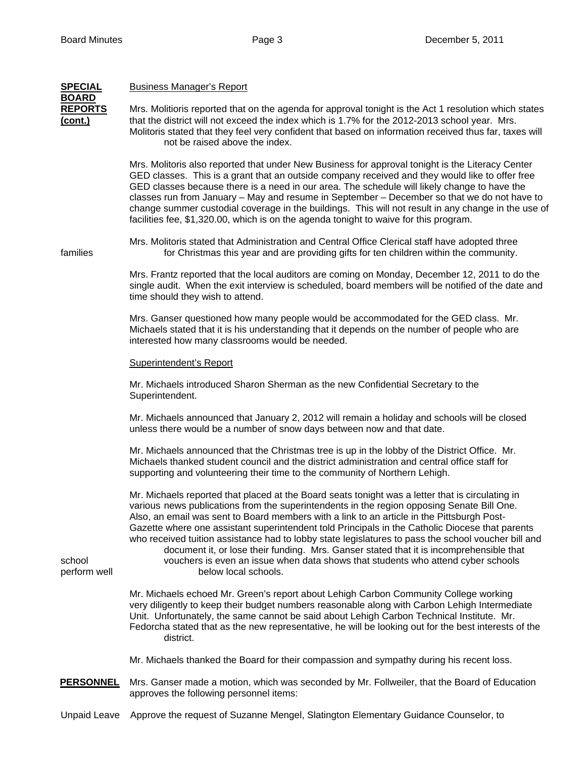| <b>SPECIAL</b><br><b>BOARD</b> | <b>Business Manager's Report</b>                                                                                                                                                                                                                                                                                                                                                                                                                                                                                                                                                                                                                                                                              |  |  |  |  |
|--------------------------------|---------------------------------------------------------------------------------------------------------------------------------------------------------------------------------------------------------------------------------------------------------------------------------------------------------------------------------------------------------------------------------------------------------------------------------------------------------------------------------------------------------------------------------------------------------------------------------------------------------------------------------------------------------------------------------------------------------------|--|--|--|--|
| <b>REPORTS</b><br>(cont.)      | Mrs. Molitioris reported that on the agenda for approval tonight is the Act 1 resolution which states<br>that the district will not exceed the index which is 1.7% for the 2012-2013 school year. Mrs.<br>Molitoris stated that they feel very confident that based on information received thus far, taxes will<br>not be raised above the index.                                                                                                                                                                                                                                                                                                                                                            |  |  |  |  |
| families                       | Mrs. Molitoris also reported that under New Business for approval tonight is the Literacy Center<br>GED classes. This is a grant that an outside company received and they would like to offer free<br>GED classes because there is a need in our area. The schedule will likely change to have the<br>classes run from January - May and resume in September - December so that we do not have to<br>change summer custodial coverage in the buildings. This will not result in any change in the use of<br>facilities fee, \$1,320.00, which is on the agenda tonight to waive for this program.                                                                                                            |  |  |  |  |
|                                | Mrs. Molitoris stated that Administration and Central Office Clerical staff have adopted three<br>for Christmas this year and are providing gifts for ten children within the community.                                                                                                                                                                                                                                                                                                                                                                                                                                                                                                                      |  |  |  |  |
|                                | Mrs. Frantz reported that the local auditors are coming on Monday, December 12, 2011 to do the<br>single audit. When the exit interview is scheduled, board members will be notified of the date and<br>time should they wish to attend.                                                                                                                                                                                                                                                                                                                                                                                                                                                                      |  |  |  |  |
|                                | Mrs. Ganser questioned how many people would be accommodated for the GED class. Mr.<br>Michaels stated that it is his understanding that it depends on the number of people who are<br>interested how many classrooms would be needed.                                                                                                                                                                                                                                                                                                                                                                                                                                                                        |  |  |  |  |
|                                | <b>Superintendent's Report</b>                                                                                                                                                                                                                                                                                                                                                                                                                                                                                                                                                                                                                                                                                |  |  |  |  |
|                                | Mr. Michaels introduced Sharon Sherman as the new Confidential Secretary to the<br>Superintendent.                                                                                                                                                                                                                                                                                                                                                                                                                                                                                                                                                                                                            |  |  |  |  |
|                                | Mr. Michaels announced that January 2, 2012 will remain a holiday and schools will be closed<br>unless there would be a number of snow days between now and that date.                                                                                                                                                                                                                                                                                                                                                                                                                                                                                                                                        |  |  |  |  |
| school<br>perform well         | Mr. Michaels announced that the Christmas tree is up in the lobby of the District Office. Mr.<br>Michaels thanked student council and the district administration and central office staff for<br>supporting and volunteering their time to the community of Northern Lehigh.                                                                                                                                                                                                                                                                                                                                                                                                                                 |  |  |  |  |
|                                | Mr. Michaels reported that placed at the Board seats tonight was a letter that is circulating in<br>various news publications from the superintendents in the region opposing Senate Bill One.<br>Also, an email was sent to Board members with a link to an article in the Pittsburgh Post-<br>Gazette where one assistant superintendent told Principals in the Catholic Diocese that parents<br>who received tuition assistance had to lobby state legislatures to pass the school voucher bill and<br>document it, or lose their funding. Mrs. Ganser stated that it is incomprehensible that<br>vouchers is even an issue when data shows that students who attend cyber schools<br>below local schools. |  |  |  |  |
|                                | Mr. Michaels echoed Mr. Green's report about Lehigh Carbon Community College working<br>very diligently to keep their budget numbers reasonable along with Carbon Lehigh Intermediate<br>Unit. Unfortunately, the same cannot be said about Lehigh Carbon Technical Institute. Mr.<br>Fedorcha stated that as the new representative, he will be looking out for the best interests of the<br>district.                                                                                                                                                                                                                                                                                                       |  |  |  |  |
|                                | Mr. Michaels thanked the Board for their compassion and sympathy during his recent loss.                                                                                                                                                                                                                                                                                                                                                                                                                                                                                                                                                                                                                      |  |  |  |  |
| <b>PERSONNEL</b>               | Mrs. Ganser made a motion, which was seconded by Mr. Follweiler, that the Board of Education<br>approves the following personnel items:                                                                                                                                                                                                                                                                                                                                                                                                                                                                                                                                                                       |  |  |  |  |
| <b>Unpaid Leave</b>            | Approve the request of Suzanne Mengel, Slatington Elementary Guidance Counselor, to                                                                                                                                                                                                                                                                                                                                                                                                                                                                                                                                                                                                                           |  |  |  |  |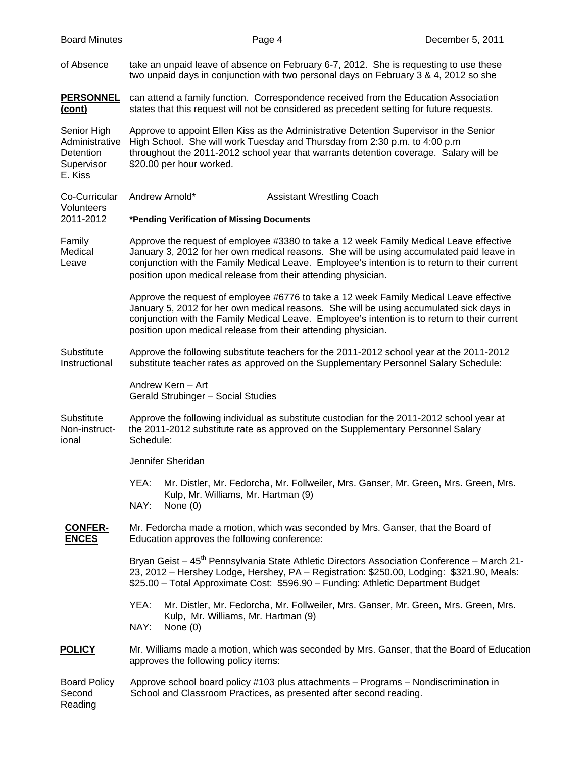of Absence take an unpaid leave of absence on February 6-7, 2012. She is requesting to use these two unpaid days in conjunction with two personal days on February 3 & 4, 2012 so she

**PERSONNEL** can attend a family function. Correspondence received from the Education Association **(cont)** states that this request will not be considered as precedent setting for future requests.

Senior High Approve to appoint Ellen Kiss as the Administrative Detention Supervisor in the Senior Administrative High School. She will work Tuesday and Thursday from 2:30 p.m. to 4:00 p.m throughout the 2011-2012 school year that warrants detention coverage. Salary will be Supervisor \$20.00 per hour worked. E. Kiss

Co-Curricular Andrew Arnold\* Assistant Wrestling Coach **Volunteers** 2011-2012 **\*Pending Verification of Missing Documents** Family Approve the request of employee #3380 to take a 12 week Family Medical Leave effective Medical January 3, 2012 for her own medical reasons. She will be using accumulated paid leave in Leave conjunction with the Family Medical Leave. Employee's intention is to return to their current

position upon medical release from their attending physician.

 Approve the request of employee #6776 to take a 12 week Family Medical Leave effective January 5, 2012 for her own medical reasons. She will be using accumulated sick days in conjunction with the Family Medical Leave. Employee's intention is to return to their current position upon medical release from their attending physician.

Substitute Approve the following substitute teachers for the 2011-2012 school year at the 2011-2012 Instructional substitute teacher rates as approved on the Supplementary Personnel Salary Schedule:

> Andrew Kern – Art Gerald Strubinger – Social Studies

Substitute Approve the following individual as substitute custodian for the 2011-2012 school year at Non-instruct- the 2011-2012 substitute rate as approved on the Supplementary Personnel Salary ional Schedule:

Jennifer Sheridan

 YEA: Mr. Distler, Mr. Fedorcha, Mr. Follweiler, Mrs. Ganser, Mr. Green, Mrs. Green, Mrs. Kulp, Mr. Williams, Mr. Hartman (9)

NAY: None (0)

**CONFER-** Mr. Fedorcha made a motion, which was seconded by Mrs. Ganser, that the Board of **ENCES** Education approves the following conference:

> Bryan Geist – 45<sup>th</sup> Pennsylvania State Athletic Directors Association Conference – March 21- 23, 2012 – Hershey Lodge, Hershey, PA – Registration: \$250.00, Lodging: \$321.90, Meals: \$25.00 – Total Approximate Cost: \$596.90 – Funding: Athletic Department Budget

 YEA: Mr. Distler, Mr. Fedorcha, Mr. Follweiler, Mrs. Ganser, Mr. Green, Mrs. Green, Mrs. Kulp, Mr. Williams, Mr. Hartman (9) NAY: None (0)

## **POLICY** Mr. Williams made a motion, which was seconded by Mrs. Ganser, that the Board of Education approves the following policy items:

## Board Policy Approve school board policy #103 plus attachments – Programs – Nondiscrimination in Second School and Classroom Practices, as presented after second reading. Reading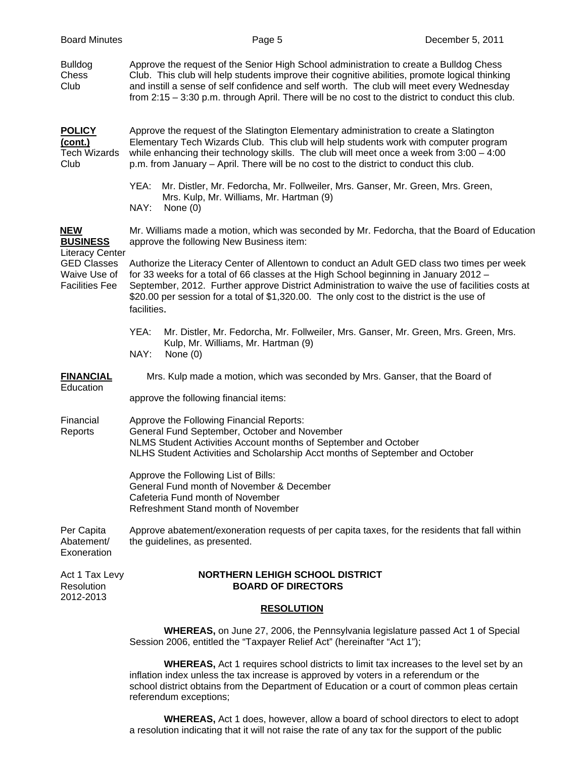| <b>Board Minutes</b>                                                                                                   | Page 5                                                                                                                                                                                                                                                                                                                                                                                                | December 5, 2011 |  |  |
|------------------------------------------------------------------------------------------------------------------------|-------------------------------------------------------------------------------------------------------------------------------------------------------------------------------------------------------------------------------------------------------------------------------------------------------------------------------------------------------------------------------------------------------|------------------|--|--|
| <b>Bulldog</b><br>Chess<br>Club                                                                                        | Approve the request of the Senior High School administration to create a Bulldog Chess<br>Club. This club will help students improve their cognitive abilities, promote logical thinking<br>and instill a sense of self confidence and self worth. The club will meet every Wednesday<br>from 2:15 - 3:30 p.m. through April. There will be no cost to the district to conduct this club.             |                  |  |  |
| <b>POLICY</b><br><u>(cont.)</u><br><b>Tech Wizards</b><br>Club                                                         | Approve the request of the Slatington Elementary administration to create a Slatington<br>Elementary Tech Wizards Club. This club will help students work with computer program<br>while enhancing their technology skills. The club will meet once a week from $3:00 - 4:00$<br>p.m. from January – April. There will be no cost to the district to conduct this club.                               |                  |  |  |
|                                                                                                                        | Mr. Distler, Mr. Fedorcha, Mr. Follweiler, Mrs. Ganser, Mr. Green, Mrs. Green,<br>YEA:<br>Mrs. Kulp, Mr. Williams, Mr. Hartman (9)<br>NAY:<br>None $(0)$                                                                                                                                                                                                                                              |                  |  |  |
| <b>NEW</b><br><b>BUSINESS</b><br><b>Literacy Center</b><br><b>GED Classes</b><br>Waive Use of<br><b>Facilities Fee</b> | Mr. Williams made a motion, which was seconded by Mr. Fedorcha, that the Board of Education<br>approve the following New Business item:                                                                                                                                                                                                                                                               |                  |  |  |
|                                                                                                                        | Authorize the Literacy Center of Allentown to conduct an Adult GED class two times per week<br>for 33 weeks for a total of 66 classes at the High School beginning in January 2012 -<br>September, 2012. Further approve District Administration to waive the use of facilities costs at<br>\$20.00 per session for a total of \$1,320.00. The only cost to the district is the use of<br>facilities. |                  |  |  |
|                                                                                                                        | YEA:<br>Mr. Distler, Mr. Fedorcha, Mr. Follweiler, Mrs. Ganser, Mr. Green, Mrs. Green, Mrs.<br>Kulp, Mr. Williams, Mr. Hartman (9)<br>NAY:<br>None $(0)$                                                                                                                                                                                                                                              |                  |  |  |
| <b>FINANCIAL</b><br>Education                                                                                          | Mrs. Kulp made a motion, which was seconded by Mrs. Ganser, that the Board of                                                                                                                                                                                                                                                                                                                         |                  |  |  |
|                                                                                                                        | approve the following financial items:                                                                                                                                                                                                                                                                                                                                                                |                  |  |  |
| Financial<br>Reports                                                                                                   | Approve the Following Financial Reports:<br>General Fund September, October and November<br>NLMS Student Activities Account months of September and October<br>NLHS Student Activities and Scholarship Acct months of September and October                                                                                                                                                           |                  |  |  |
|                                                                                                                        | Approve the Following List of Bills:<br>General Fund month of November & December<br>Cafeteria Fund month of November<br>Refreshment Stand month of November                                                                                                                                                                                                                                          |                  |  |  |
| Per Capita<br>Abatement/<br>Exoneration                                                                                | Approve abatement/exoneration requests of per capita taxes, for the residents that fall within<br>the guidelines, as presented.                                                                                                                                                                                                                                                                       |                  |  |  |
| Act 1 Tax Levy<br>Resolution<br>2012-2013                                                                              | <b>NORTHERN LEHIGH SCHOOL DISTRICT</b><br><b>BOARD OF DIRECTORS</b>                                                                                                                                                                                                                                                                                                                                   |                  |  |  |
|                                                                                                                        | <b>RESOLUTION</b>                                                                                                                                                                                                                                                                                                                                                                                     |                  |  |  |
|                                                                                                                        | <b>WHEREAS, on June 27, 2006, the Pennsylvania legislature passed Act 1 of Special</b><br>Session 2006, entitled the "Taxpayer Relief Act" (hereinafter "Act 1");                                                                                                                                                                                                                                     |                  |  |  |
|                                                                                                                        | <b>WHEREAS, Act 1 requires school districts to limit tax increases to the level set by an</b><br>inflation index unless the tax increase is approved by voters in a referendum or the                                                                                                                                                                                                                 |                  |  |  |

 school district obtains from the Department of Education or a court of common pleas certain referendum exceptions;

 **WHEREAS,** Act 1 does, however, allow a board of school directors to elect to adopt a resolution indicating that it will not raise the rate of any tax for the support of the public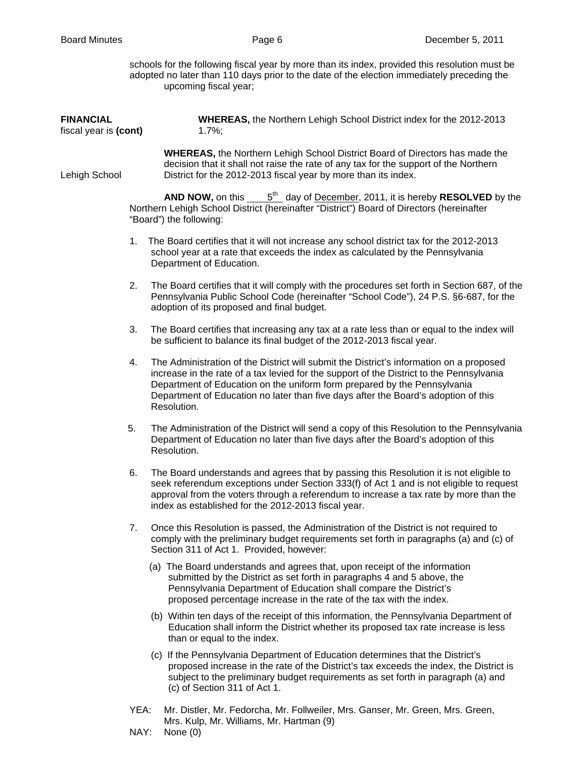schools for the following fiscal year by more than its index, provided this resolution must be adopted no later than 110 days prior to the date of the election immediately preceding the upcoming fiscal year;

| <b>FINANCIAL</b><br>fiscal year is (cont) | WHEREAS, the Northern Lehigh School District index for the 2012-2013<br>1.7%;                                                                                                                                                                                                                                                                                              |  |  |
|-------------------------------------------|----------------------------------------------------------------------------------------------------------------------------------------------------------------------------------------------------------------------------------------------------------------------------------------------------------------------------------------------------------------------------|--|--|
| Lehigh School                             | <b>WHEREAS, the Northern Lehigh School District Board of Directors has made the</b><br>decision that it shall not raise the rate of any tax for the support of the Northern<br>District for the 2012-2013 fiscal year by more than its index.                                                                                                                              |  |  |
|                                           | <b>AND NOW, on this <math>\underline{\hspace{1cm}} 5^{\text{th}}</math></b> day of <u>December</u> , 2011, it is hereby <b>RESOLVED</b> by the<br>Northern Lehigh School District (hereinafter "District") Board of Directors (hereinafter<br>"Board") the following:                                                                                                      |  |  |
|                                           | The Board certifies that it will not increase any school district tax for the 2012-2013<br>1.<br>school year at a rate that exceeds the index as calculated by the Pennsylvania<br>Department of Education.                                                                                                                                                                |  |  |
|                                           | 2.<br>The Board certifies that it will comply with the procedures set forth in Section 687, of the<br>Pennsylvania Public School Code (hereinafter "School Code"), 24 P.S. §6-687, for the<br>adoption of its proposed and final budget.                                                                                                                                   |  |  |
|                                           | The Board certifies that increasing any tax at a rate less than or equal to the index will<br>3.<br>be sufficient to balance its final budget of the 2012-2013 fiscal year.                                                                                                                                                                                                |  |  |
|                                           | The Administration of the District will submit the District's information on a proposed<br>4.<br>increase in the rate of a tax levied for the support of the District to the Pennsylvania<br>Department of Education on the uniform form prepared by the Pennsylvania<br>Department of Education no later than five days after the Board's adoption of this<br>Resolution. |  |  |
| 5.                                        | The Administration of the District will send a copy of this Resolution to the Pennsylvania<br>Department of Education no later than five days after the Board's adoption of this<br>Resolution.                                                                                                                                                                            |  |  |
|                                           | 6.<br>The Board understands and agrees that by passing this Resolution it is not eligible to<br>seek referendum exceptions under Section 333(f) of Act 1 and is not eligible to request<br>approval from the voters through a referendum to increase a tax rate by more than the<br>index as established for the 2012-2013 fiscal year.                                    |  |  |
|                                           | 7.<br>Once this Resolution is passed, the Administration of the District is not required to<br>comply with the preliminary budget requirements set forth in paragraphs (a) and (c) of<br>Section 311 of Act 1. Provided, however:                                                                                                                                          |  |  |
|                                           | (a) The Board understands and agrees that, upon receipt of the information<br>submitted by the District as set forth in paragraphs 4 and 5 above, the<br>Pennsylvania Department of Education shall compare the District's<br>proposed percentage increase in the rate of the tax with the index.                                                                          |  |  |
|                                           | (b) Within ten days of the receipt of this information, the Pennsylvania Department of<br>Education shall inform the District whether its proposed tax rate increase is less<br>than or equal to the index.                                                                                                                                                                |  |  |
|                                           | (c) If the Pennsylvania Department of Education determines that the District's<br>proposed increase in the rate of the District's tax exceeds the index, the District is<br>subject to the preliminary budget requirements as set forth in paragraph (a) and<br>(c) of Section 311 of Act 1.                                                                               |  |  |

- YEA: Mr. Distler, Mr. Fedorcha, Mr. Follweiler, Mrs. Ganser, Mr. Green, Mrs. Green, Mrs. Kulp, Mr. Williams, Mr. Hartman (9)
- NAY: None (0)